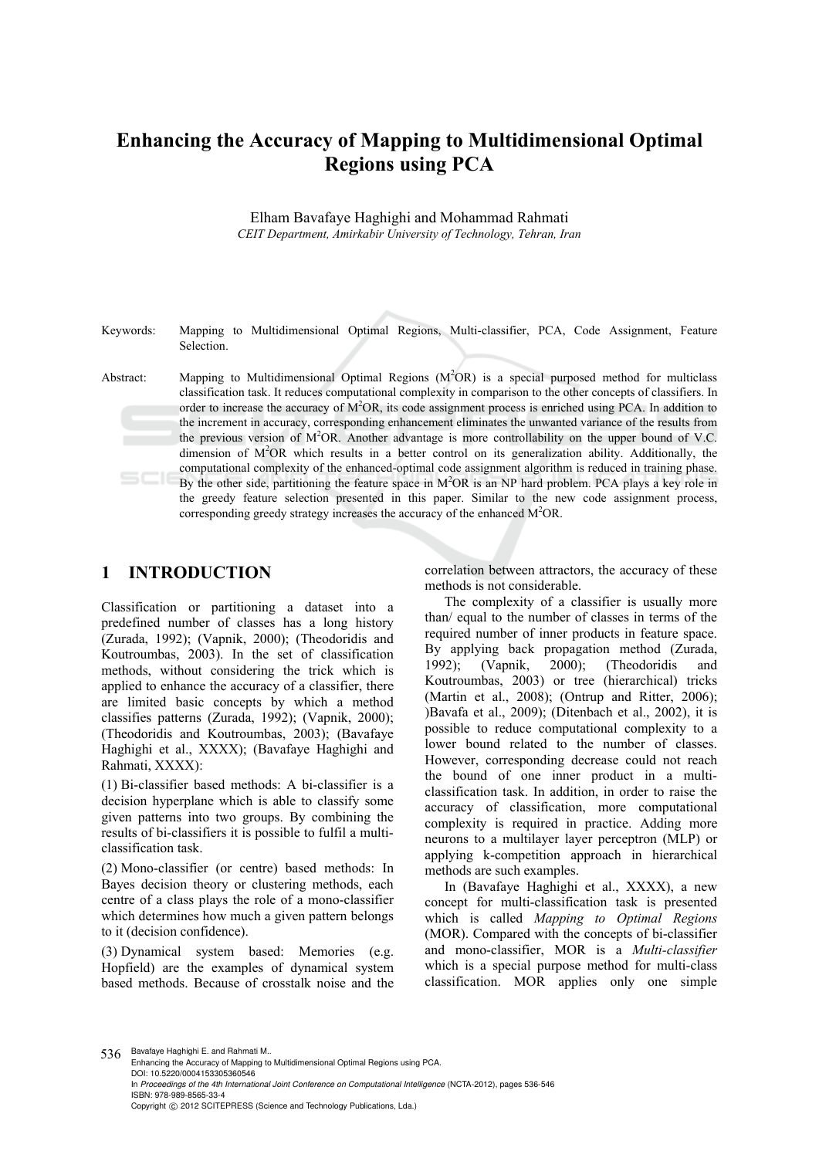# **Enhancing the Accuracy of Mapping to Multidimensional Optimal Regions using PCA**

Elham Bavafaye Haghighi and Mohammad Rahmati *CEIT Department, Amirkabir University of Technology, Tehran, Iran* 

Keywords: Mapping to Multidimensional Optimal Regions, Multi-classifier, PCA, Code Assignment, Feature Selection.

Abstract: Mapping to Multidimensional Optimal Regions ( $M<sup>2</sup>OR$ ) is a special purposed method for multiclass classification task. It reduces computational complexity in comparison to the other concepts of classifiers. In order to increase the accuracy of  $M^2OR$ , its code assignment process is enriched using PCA. In addition to the increment in accuracy, corresponding enhancement eliminates the unwanted variance of the results from the previous version of  $M^2OR$ . Another advantage is more controllability on the upper bound of V.C. dimension of  $M^2OR$  which results in a better control on its generalization ability. Additionally, the computational complexity of the enhanced-optimal code assignment algorithm is reduced in training phase. By the other side, partitioning the feature space in M<sup>2</sup>OR is an NP hard problem. PCA plays a key role in the greedy feature selection presented in this paper. Similar to the new code assignment process, corresponding greedy strategy increases the accuracy of the enhanced  $M^2OR$ .

## **1 INTRODUCTION**

Classification or partitioning a dataset into a predefined number of classes has a long history (Zurada, 1992); (Vapnik, 2000); (Theodoridis and Koutroumbas, 2003). In the set of classification methods, without considering the trick which is applied to enhance the accuracy of a classifier, there are limited basic concepts by which a method classifies patterns (Zurada, 1992); (Vapnik, 2000); (Theodoridis and Koutroumbas, 2003); (Bavafaye Haghighi et al., XXXX); (Bavafaye Haghighi and Rahmati, XXXX):

(1) Bi-classifier based methods: A bi-classifier is a decision hyperplane which is able to classify some given patterns into two groups. By combining the results of bi-classifiers it is possible to fulfil a multiclassification task.

(2) Mono-classifier (or centre) based methods: In Bayes decision theory or clustering methods, each centre of a class plays the role of a mono-classifier which determines how much a given pattern belongs to it (decision confidence).

(3) Dynamical system based: Memories (e.g. Hopfield) are the examples of dynamical system based methods. Because of crosstalk noise and the correlation between attractors, the accuracy of these methods is not considerable.

The complexity of a classifier is usually more than/ equal to the number of classes in terms of the required number of inner products in feature space. By applying back propagation method (Zurada, 1992); (Vapnik, 2000); (Theodoridis and Koutroumbas, 2003) or tree (hierarchical) tricks (Martin et al., 2008); (Ontrup and Ritter, 2006); )Bavafa et al., 2009); (Ditenbach et al., 2002), it is possible to reduce computational complexity to a lower bound related to the number of classes. However, corresponding decrease could not reach the bound of one inner product in a multiclassification task. In addition, in order to raise the accuracy of classification, more computational complexity is required in practice. Adding more neurons to a multilayer layer perceptron (MLP) or applying k-competition approach in hierarchical methods are such examples.

In (Bavafaye Haghighi et al., XXXX), a new concept for multi-classification task is presented which is called *Mapping to Optimal Regions* (MOR). Compared with the concepts of bi-classifier and mono-classifier, MOR is a *Multi-classifier* which is a special purpose method for multi-class classification. MOR applies only one simple

536 Bavafaye Haghighi E. and Rahmati M..

Enhancing the Accuracy of Mapping to Multidimensional Optimal Regions using PCA. DOI: 10.5220/0004153305360546 In *Proceedings of the 4th International Joint Conference on Computational Intelligence* (NCTA-2012), pages 536-546 ISBN: 978-989-8565-33-4 Copyright © 2012 SCITEPRESS (Science and Technology Publications, Lda.)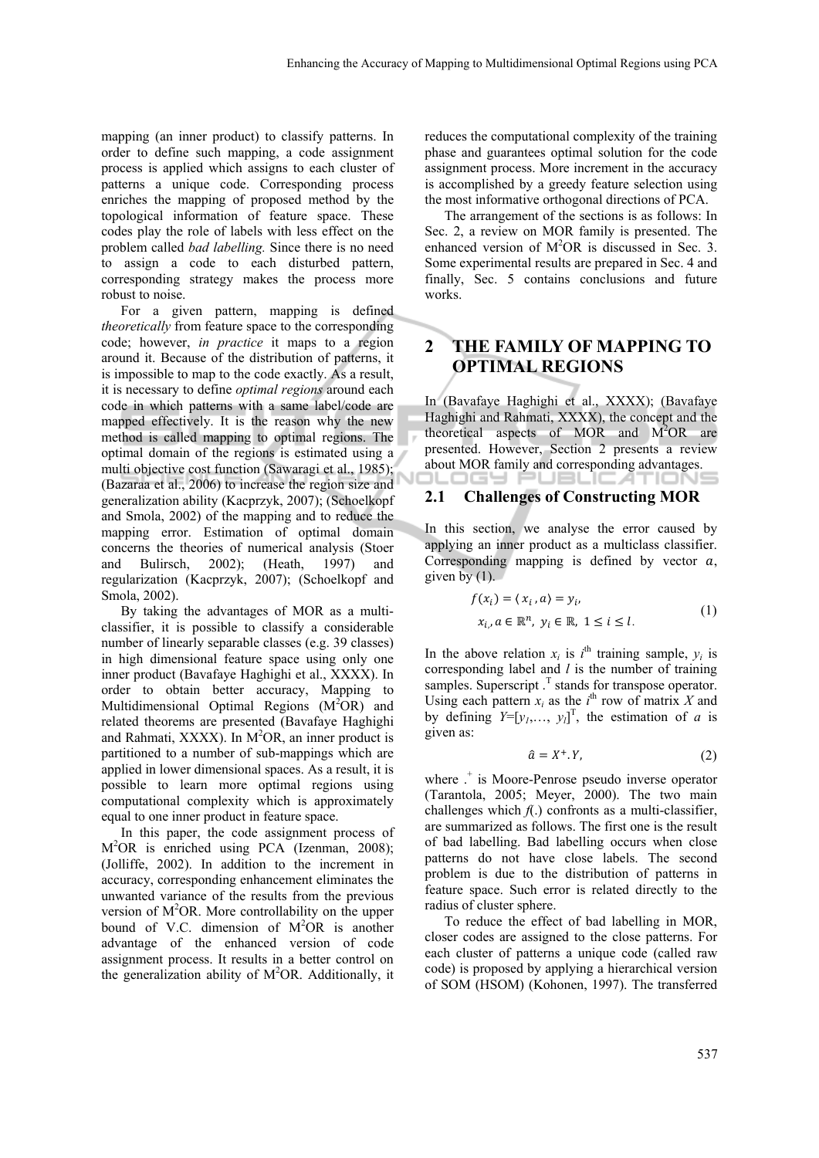mapping (an inner product) to classify patterns. In order to define such mapping, a code assignment process is applied which assigns to each cluster of patterns a unique code. Corresponding process enriches the mapping of proposed method by the topological information of feature space. These codes play the role of labels with less effect on the problem called *bad labelling.* Since there is no need to assign a code to each disturbed pattern, corresponding strategy makes the process more robust to noise.

For a given pattern, mapping is defined *theoretically* from feature space to the corresponding code; however, *in practice* it maps to a region around it. Because of the distribution of patterns, it is impossible to map to the code exactly. As a result, it is necessary to define *optimal regions* around each code in which patterns with a same label/code are mapped effectively. It is the reason why the new method is called mapping to optimal regions. The optimal domain of the regions is estimated using a multi objective cost function (Sawaragi et al., 1985); (Bazaraa et al., 2006) to increase the region size and generalization ability (Kacprzyk, 2007); (Schoelkopf and Smola, 2002) of the mapping and to reduce the mapping error. Estimation of optimal domain concerns the theories of numerical analysis (Stoer and Bulirsch, 2002); (Heath, 1997) and regularization (Kacprzyk, 2007); (Schoelkopf and Smola, 2002).

By taking the advantages of MOR as a multiclassifier, it is possible to classify a considerable number of linearly separable classes (e.g. 39 classes) in high dimensional feature space using only one inner product (Bavafaye Haghighi et al., XXXX). In order to obtain better accuracy, Mapping to Multidimensional Optimal Regions  $(M^2OR)$  and related theorems are presented (Bavafaye Haghighi and Rahmati,  $XXXX$ ). In  $M<sup>2</sup>OR$ , an inner product is partitioned to a number of sub-mappings which are applied in lower dimensional spaces. As a result, it is possible to learn more optimal regions using computational complexity which is approximately equal to one inner product in feature space.

In this paper, the code assignment process of M2 OR is enriched using PCA (Izenman, 2008); (Jolliffe, 2002). In addition to the increment in accuracy, corresponding enhancement eliminates the unwanted variance of the results from the previous version of  $M^2OR$ . More controllability on the upper bound of V.C. dimension of  $M^2OR$  is another advantage of the enhanced version of code assignment process. It results in a better control on the generalization ability of  $M^2OR$ . Additionally, it

reduces the computational complexity of the training phase and guarantees optimal solution for the code assignment process. More increment in the accuracy is accomplished by a greedy feature selection using the most informative orthogonal directions of PCA.

The arrangement of the sections is as follows: In Sec. 2, a review on MOR family is presented. The enhanced version of  $M^2OR$  is discussed in Sec. 3. Some experimental results are prepared in Sec. 4 and finally, Sec. 5 contains conclusions and future works.

## **2 THE FAMILY OF MAPPING TO OPTIMAL REGIONS**

In (Bavafaye Haghighi et al., XXXX); (Bavafaye Haghighi and Rahmati, XXXX), the concept and the theoretical aspects of MOR and  $M^2OR$  are presented. However, Section 2 presents a review about MOR family and corresponding advantages. コレロロヨー UBLIC ITION!

#### **2.1 Challenges of Constructing MOR**

In this section, we analyse the error caused by applying an inner product as a multiclass classifier. Corresponding mapping is defined by vector  $a$ , given by  $(1)$ .

$$
f(x_i) = \langle x_i, a \rangle = y_i,
$$
  
\n
$$
x_i, a \in \mathbb{R}^n, y_i \in \mathbb{R}, 1 \le i \le l.
$$
 (1)

In the above relation  $x_i$  is  $i^{\text{th}}$  training sample,  $y_i$  is corresponding label and *l* is the number of training samples. Superscript  $\cdot$ <sup>T</sup> stands for transpose operator. Using each pattern  $x_i$  as the  $i^{\text{th}}$  row of matrix *X* and by defining  $Y=[y_1,\ldots,y_l]^T$ , the estimation of *a* is given as:

$$
\hat{a} = X^+.Y,\tag{2}
$$

where  $\cdot$ <sup>+</sup> is Moore-Penrose pseudo inverse operator (Tarantola, 2005; Meyer, 2000). The two main challenges which  $f(.)$  confronts as a multi-classifier, are summarized as follows. The first one is the result of bad labelling. Bad labelling occurs when close patterns do not have close labels. The second problem is due to the distribution of patterns in feature space. Such error is related directly to the radius of cluster sphere.

To reduce the effect of bad labelling in MOR, closer codes are assigned to the close patterns. For each cluster of patterns a unique code (called raw code) is proposed by applying a hierarchical version of SOM (HSOM) (Kohonen, 1997). The transferred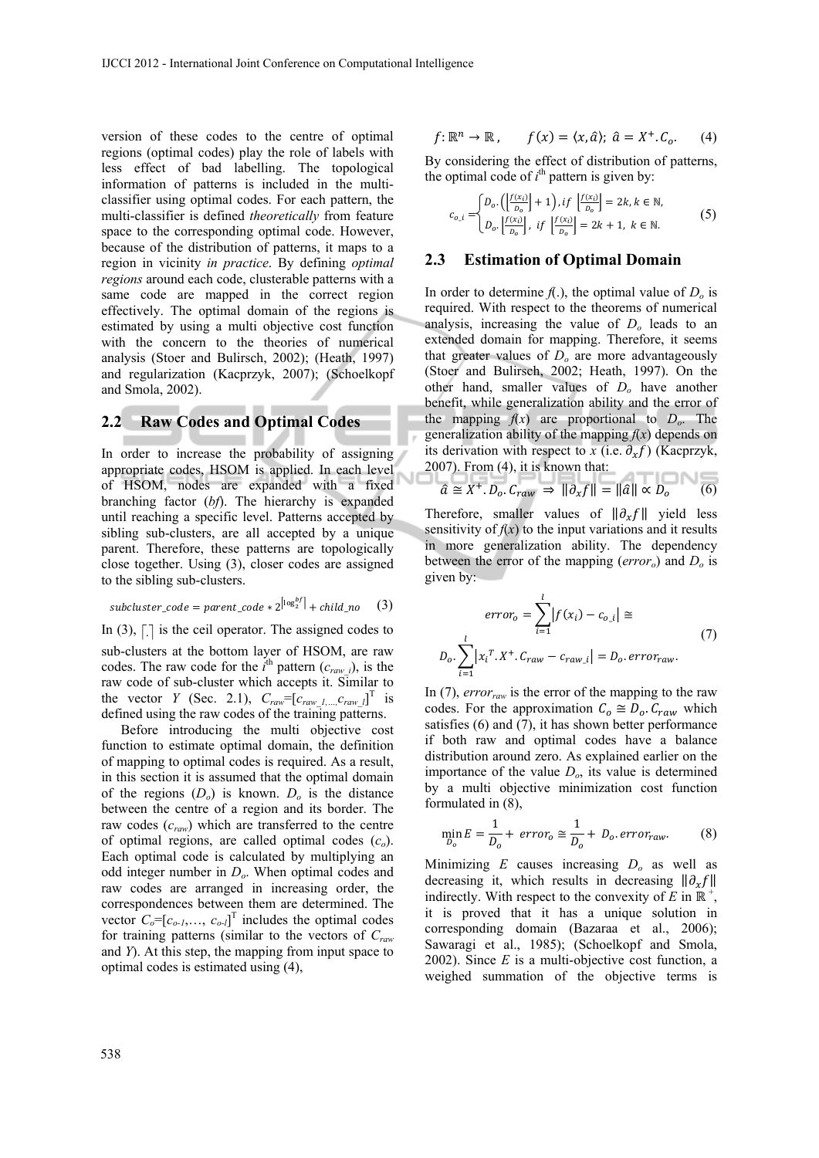version of these codes to the centre of optimal regions (optimal codes) play the role of labels with less effect of bad labelling. The topological information of patterns is included in the multiclassifier using optimal codes. For each pattern, the multi-classifier is defined *theoretically* from feature space to the corresponding optimal code. However, because of the distribution of patterns, it maps to a region in vicinity *in practice*. By defining *optimal regions* around each code, clusterable patterns with a same code are mapped in the correct region effectively. The optimal domain of the regions is estimated by using a multi objective cost function with the concern to the theories of numerical analysis (Stoer and Bulirsch, 2002); (Heath, 1997) and regularization (Kacprzyk, 2007); (Schoelkopf and Smola, 2002).

### **2.2 Raw Codes and Optimal Codes**

In order to increase the probability of assigning appropriate codes, HSOM is applied. In each level of HSOM, nodes are expanded with a fixed branching factor (*bf*). The hierarchy is expanded until reaching a specific level. Patterns accepted by sibling sub-clusters, are all accepted by a unique parent. Therefore, these patterns are topologically close together. Using (3), closer codes are assigned to the sibling sub-clusters.

$$
subcluster\_code = parent\_code * 2^{\left\lfloor \log_2^{bf} \right\rfloor} + child\_no \quad (3)
$$

In (3),  $\Box$  is the ceil operator. The assigned codes to sub-clusters at the bottom layer of HSOM, are raw codes. The raw code for the  $i^{\text{th}}$  pattern  $(c_{\text{raw }i})$ , is the raw code of sub-cluster which accepts it. Similar to the vector *Y* (Sec. 2.1),  $C_{raw} = [c_{raw} \t l, ..., c_{raw} \t l]^T$  is defined using the raw codes of the training patterns.

Before introducing the multi objective cost function to estimate optimal domain, the definition of mapping to optimal codes is required. As a result, in this section it is assumed that the optimal domain of the regions  $(D<sub>o</sub>)$  is known.  $D<sub>o</sub>$  is the distance between the centre of a region and its border. The raw codes (*craw*) which are transferred to the centre of optimal regions, are called optimal codes (*co*). Each optimal code is calculated by multiplying an odd integer number in *Do*. When optimal codes and raw codes are arranged in increasing order, the correspondences between them are determined. The vector  $C_0 = [c_{o-1}, \ldots, c_{o-l}]$ <sup>T</sup> includes the optimal codes for training patterns (similar to the vectors of *Craw* and *Y*). At this step, the mapping from input space to optimal codes is estimated using (4),

$$
f: \mathbb{R}^n \to \mathbb{R}, \qquad f(x) = \langle x, \hat{a} \rangle; \ \hat{a} = X^+.C_o. \tag{4}
$$

By considering the effect of distribution of patterns, the optimal code of  $i<sup>th</sup>$  pattern is given by:

$$
c_{o.i} =\begin{cases} D_o. \left( \frac{f(x_i)}{D_o} \right) + 1 \right), if \left[ \frac{f(x_i)}{D_o} \right] = 2k, k \in \mathbb{N}, \\ D_o. \left[ \frac{f(x_i)}{D_o} \right], if \left[ \frac{f(x_i)}{D_o} \right] = 2k + 1, k \in \mathbb{N}. \end{cases}
$$
(5)

#### **2.3 Estimation of Optimal Domain**

In order to determine  $f(.)$ , the optimal value of  $D<sub>o</sub>$  is required. With respect to the theorems of numerical analysis, increasing the value of *Do* leads to an extended domain for mapping. Therefore, it seems that greater values of *Do* are more advantageously (Stoer and Bulirsch, 2002; Heath, 1997). On the other hand, smaller values of *Do* have another benefit, while generalization ability and the error of the mapping  $f(x)$  are proportional to  $D_0$ . The generalization ability of the mapping  $f(x)$  depends on its derivation with respect to *x* (i.e.  $\partial_x f$ ) (Kacprzyk,  $2007$ ). From (4), it is known that:

$$
\hat{a} \cong X^+.D_o.C_{raw} \implies ||\partial_x f|| = ||\hat{a}|| \propto D_o \tag{6}
$$

Therefore, smaller values of  $\|\partial_x f\|$  yield less sensitivity of  $f(x)$  to the input variations and it results in more generalization ability. The dependency between the error of the mapping (*erroro*) and *Do* is given by:

$$
error_{o} = \sum_{i=1}^{l} |f(x_{i}) - c_{o_{i}}| \approx
$$
  

$$
D_{o} \cdot \sum_{i=1}^{l} |x_{i}^{T} \cdot X^{+} \cdot C_{raw} - c_{raw_{i}}| = D_{o} \cdot error_{raw}.
$$
 (7)

In  $(7)$ , *error<sub>raw</sub>* is the error of the mapping to the raw codes. For the approximation  $C_0 \cong D_0$ .  $C_{raw}$  which satisfies (6) and (7), it has shown better performance if both raw and optimal codes have a balance distribution around zero. As explained earlier on the importance of the value *Do*, its value is determined by a multi objective minimization cost function formulated in (8),

$$
\min_{D_o} E = \frac{1}{D_o} + \text{error}_o \cong \frac{1}{D_o} + D_o \text{ error}_{raw}.
$$
 (8)

Minimizing *E* causes increasing *Do* as well as decreasing it, which results in decreasing  $\|\partial_x f\|$ indirectly. With respect to the convexity of *E* in  $\mathbb{R}^+$ , it is proved that it has a unique solution in corresponding domain (Bazaraa et al., 2006); Sawaragi et al., 1985); (Schoelkopf and Smola, 2002). Since *E* is a multi-objective cost function, a weighed summation of the objective terms is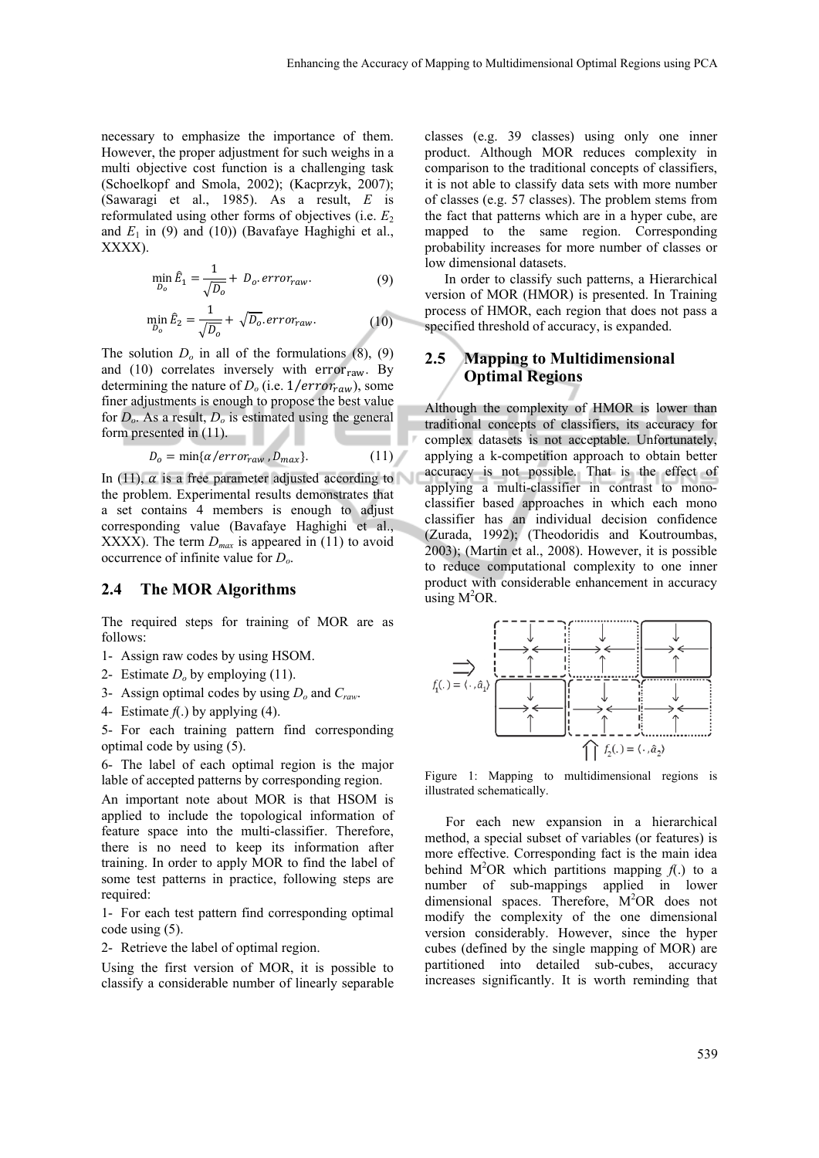necessary to emphasize the importance of them. However, the proper adjustment for such weighs in a multi objective cost function is a challenging task (Schoelkopf and Smola, 2002); (Kacprzyk, 2007); (Sawaragi et al., 1985). As a result, *E* is reformulated using other forms of objectives (i.e.  $E<sub>2</sub>$ ) and  $E_1$  in (9) and (10)) (Bavafaye Haghighi et al., XXXX).

$$
\min_{D_o} \hat{E}_1 = \frac{1}{\sqrt{D_o}} + D_o. \, error_{raw}.\tag{9}
$$

$$
\min_{D_o} \hat{E}_2 = \frac{1}{\sqrt{D_o}} + \sqrt{D_o} \cdot error_{raw}.
$$
 (10)

The solution  $D<sub>o</sub>$  in all of the formulations  $(8)$ ,  $(9)$ and (10) correlates inversely with  $error<sub>raw</sub>$ . By determining the nature of  $D<sub>o</sub>$  (i.e.  $1/error_{raw}$ ), some finer adjustments is enough to propose the best value for  $D<sub>o</sub>$ . As a result,  $D<sub>o</sub>$  is estimated using the general form presented in (11).

$$
D_o = \min{\{\alpha / error_{raw}, D_{max}\}}.
$$
 (11)

In (11),  $\alpha$  is a free parameter adjusted according to the problem. Experimental results demonstrates that a set contains 4 members is enough to adjust corresponding value (Bavafaye Haghighi et al., XXXX). The term  $D_{max}$  is appeared in (11) to avoid occurrence of infinite value for *Do*.

#### **2.4 The MOR Algorithms**

The required steps for training of MOR are as follows:

- 1- Assign raw codes by using HSOM.
- 2- Estimate *Do* by employing (11).
- 3- Assign optimal codes by using *Do* and *Craw*.
- 4- Estimate  $f(.)$  by applying (4).

5- For each training pattern find corresponding optimal code by using (5).

6- The label of each optimal region is the major lable of accepted patterns by corresponding region.

An important note about MOR is that HSOM is applied to include the topological information of feature space into the multi-classifier. Therefore, there is no need to keep its information after training. In order to apply MOR to find the label of some test patterns in practice, following steps are required:

1- For each test pattern find corresponding optimal code using (5).

2- Retrieve the label of optimal region.

Using the first version of MOR, it is possible to classify a considerable number of linearly separable classes (e.g. 39 classes) using only one inner product. Although MOR reduces complexity in comparison to the traditional concepts of classifiers, it is not able to classify data sets with more number of classes (e.g. 57 classes). The problem stems from the fact that patterns which are in a hyper cube, are mapped to the same region. Corresponding probability increases for more number of classes or low dimensional datasets.

In order to classify such patterns, a Hierarchical version of MOR (HMOR) is presented. In Training process of HMOR, each region that does not pass a specified threshold of accuracy, is expanded.

### **2.5 Mapping to Multidimensional Optimal Regions**

Although the complexity of HMOR is lower than traditional concepts of classifiers, its accuracy for complex datasets is not acceptable. Unfortunately, applying a k-competition approach to obtain better accuracy is not possible. That is the effect of applying a multi-classifier in contrast to monoclassifier based approaches in which each mono classifier has an individual decision confidence (Zurada, 1992); (Theodoridis and Koutroumbas, 2003); (Martin et al., 2008). However, it is possible to reduce computational complexity to one inner product with considerable enhancement in accuracy  $using M<sup>2</sup>OR.$ 



Figure 1: Mapping to multidimensional regions is illustrated schematically.

For each new expansion in a hierarchical method, a special subset of variables (or features) is more effective. Corresponding fact is the main idea behind  $M^2OR$  which partitions mapping  $f(.)$  to a number of sub-mappings applied in lower dimensional spaces. Therefore, M<sup>2</sup>OR does not modify the complexity of the one dimensional version considerably. However, since the hyper cubes (defined by the single mapping of MOR) are partitioned into detailed sub-cubes, accuracy increases significantly. It is worth reminding that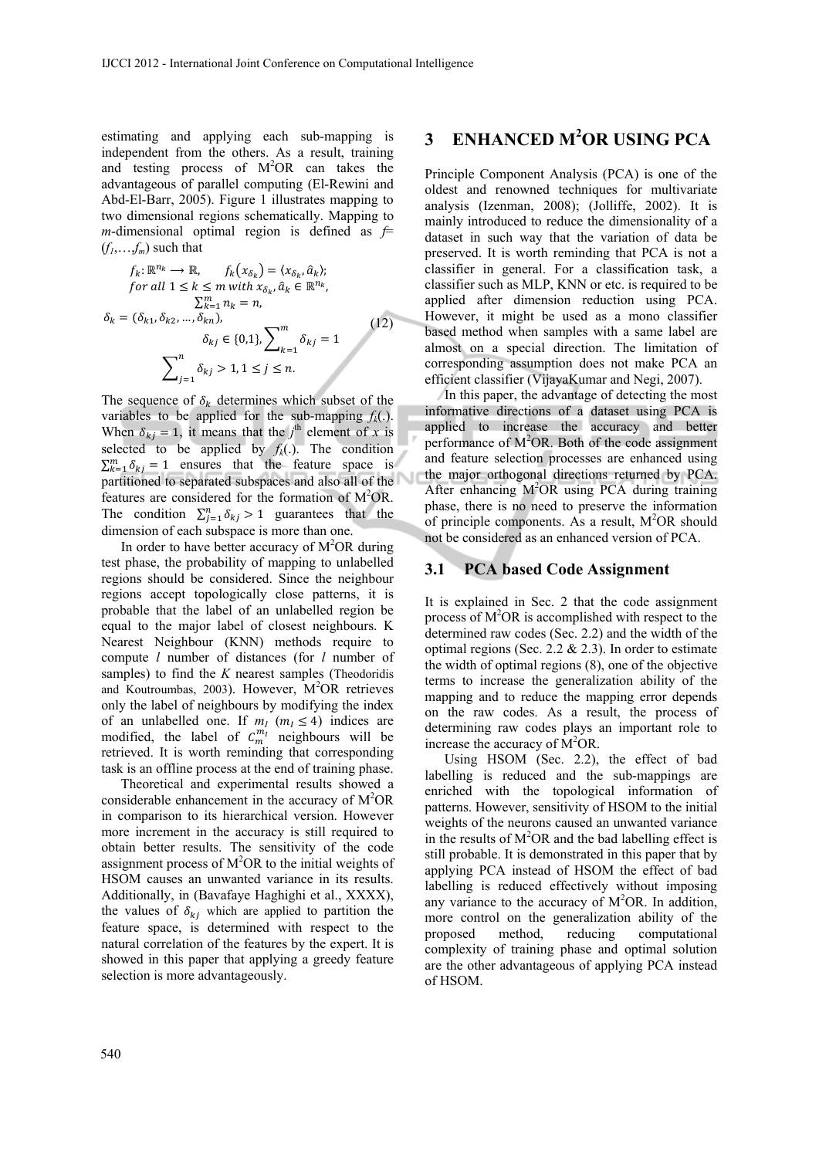estimating and applying each sub-mapping is independent from the others. As a result, training and testing process of  $M^2OR$  can takes the advantageous of parallel computing (El-Rewini and Abd-El-Barr, 2005). Figure 1 illustrates mapping to two dimensional regions schematically. Mapping to *m*-dimensional optimal region is defined as  $f=$  $(f_1, \ldots, f_m)$  such that

$$
f_k: \mathbb{R}^{n_k} \to \mathbb{R}, \qquad f_k(x_{\delta_k}) = \langle x_{\delta_k}, \hat{a}_k \rangle; \nfor all  $1 \le k \le m$  with  $x_{\delta_k}, \hat{a}_k \in \mathbb{R}^{n_k},$   
\n
$$
\sum_{k=1}^m n_k = n,
$$
  
\n
$$
\delta_k = (\delta_{k1}, \delta_{k2}, ..., \delta_{kn}),
$$
  
\n
$$
\delta_{kj} \in \{0, 1\}, \sum_{k=1}^m \delta_{kj} = 1
$$
  
\n
$$
\sum_{j=1}^n \delta_{kj} > 1, 1 \le j \le n.
$$
\n(12)
$$

The sequence of  $\delta_k$  determines which subset of the variables to be applied for the sub-mapping  $f_k(.)$ . When  $\delta_{kj} = 1$ , it means that the *j*<sup>th</sup> element of *x* is selected to be applied by  $f_k(.)$ . The condition  $\sum_{k=1}^{m} \delta_{kj} = 1$  ensures that the feature space is partitioned to separated subspaces and also all of the features are considered for the formation of M<sup>2</sup>OR. The condition  $\sum_{j=1}^{n} \delta_{kj} > 1$  guarantees that the dimension of each subspace is more than one.

In order to have better accuracy of  $M<sup>2</sup>OR$  during test phase, the probability of mapping to unlabelled regions should be considered. Since the neighbour regions accept topologically close patterns, it is probable that the label of an unlabelled region be equal to the major label of closest neighbours. K Nearest Neighbour (KNN) methods require to compute *l* number of distances (for *l* number of samples) to find the *K* nearest samples (Theodoridis and Koutroumbas, 2003). However, M<sup>2</sup>OR retrieves only the label of neighbours by modifying the index of an unlabelled one. If  $m_l$  ( $m_l \leq 4$ ) indices are modified, the label of  $C_m^{m_l}$  neighbours will be retrieved. It is worth reminding that corresponding task is an offline process at the end of training phase.

Theoretical and experimental results showed a considerable enhancement in the accuracy of  $M^2OR$ in comparison to its hierarchical version. However more increment in the accuracy is still required to obtain better results. The sensitivity of the code assignment process of  $M^2OR$  to the initial weights of HSOM causes an unwanted variance in its results. Additionally, in (Bavafaye Haghighi et al., XXXX), the values of  $\delta_{ki}$  which are applied to partition the feature space, is determined with respect to the natural correlation of the features by the expert. It is showed in this paper that applying a greedy feature selection is more advantageously.

# **3 ENHANCED M2 OR USING PCA**

Principle Component Analysis (PCA) is one of the oldest and renowned techniques for multivariate analysis (Izenman, 2008); (Jolliffe, 2002). It is mainly introduced to reduce the dimensionality of a dataset in such way that the variation of data be preserved. It is worth reminding that PCA is not a classifier in general. For a classification task, a classifier such as MLP, KNN or etc. is required to be applied after dimension reduction using PCA. However, it might be used as a mono classifier based method when samples with a same label are almost on a special direction. The limitation of corresponding assumption does not make PCA an efficient classifier (VijayaKumar and Negi, 2007).

In this paper, the advantage of detecting the most informative directions of a dataset using PCA is applied to increase the accuracy and better performance of M<sup>2</sup>OR. Both of the code assignment and feature selection processes are enhanced using the major orthogonal directions returned by PCA. After enhancing  $M^2OR$  using PCA during training phase, there is no need to preserve the information of principle components. As a result,  $M<sup>2</sup>OR$  should not be considered as an enhanced version of PCA.

#### **3.1 PCA based Code Assignment**

It is explained in Sec. 2 that the code assignment process of  $M^2OR$  is accomplished with respect to the determined raw codes (Sec. 2.2) and the width of the optimal regions (Sec. 2.2  $& 2.3$ ). In order to estimate the width of optimal regions (8), one of the objective terms to increase the generalization ability of the mapping and to reduce the mapping error depends on the raw codes. As a result, the process of determining raw codes plays an important role to increase the accuracy of  $\dot{M}^2$ OR.

Using HSOM (Sec. 2.2), the effect of bad labelling is reduced and the sub-mappings are enriched with the topological information of patterns. However, sensitivity of HSOM to the initial weights of the neurons caused an unwanted variance in the results of  $M^2OR$  and the bad labelling effect is still probable. It is demonstrated in this paper that by applying PCA instead of HSOM the effect of bad labelling is reduced effectively without imposing any variance to the accuracy of M<sup>2</sup>OR. In addition, more control on the generalization ability of the proposed method, reducing computational complexity of training phase and optimal solution are the other advantageous of applying PCA instead of HSOM.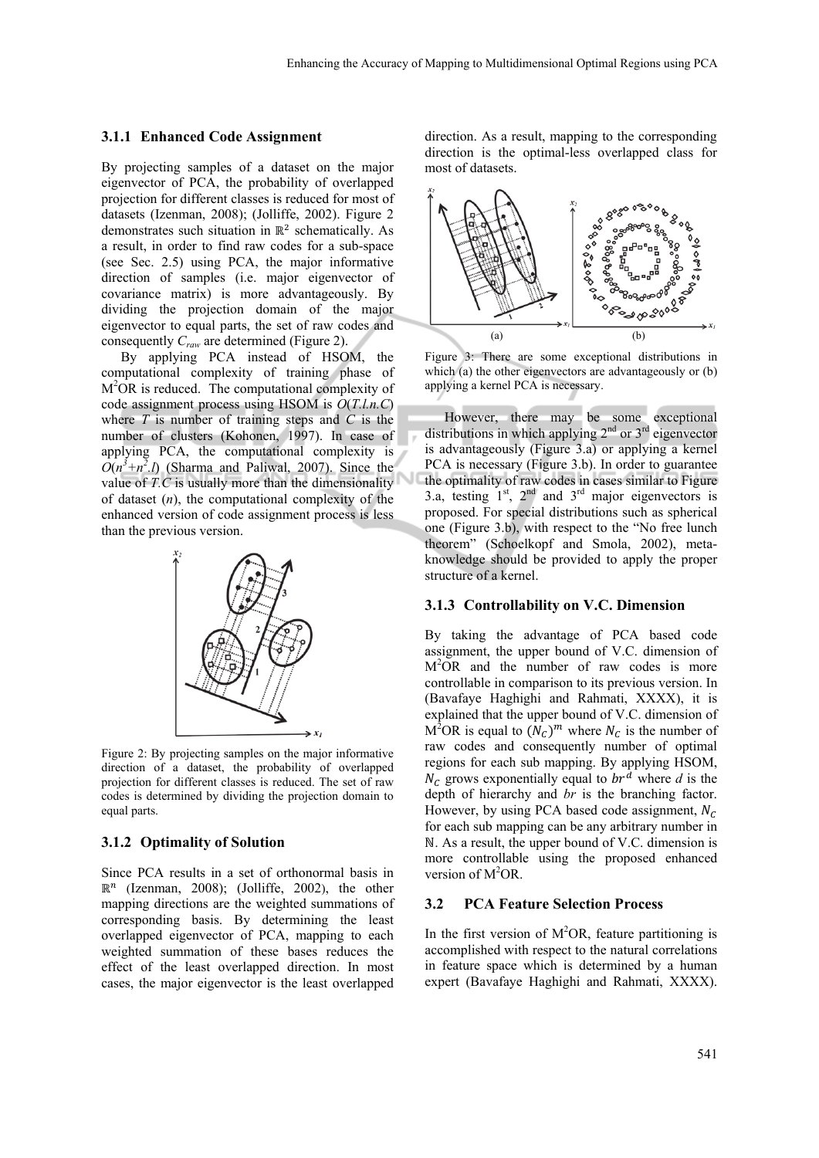#### **3.1.1 Enhanced Code Assignment**

By projecting samples of a dataset on the major eigenvector of PCA, the probability of overlapped projection for different classes is reduced for most of datasets (Izenman, 2008); (Jolliffe, 2002). Figure 2 demonstrates such situation in  $\mathbb{R}^2$  schematically. As a result, in order to find raw codes for a sub-space (see Sec. 2.5) using PCA, the major informative direction of samples (i.e. major eigenvector of covariance matrix) is more advantageously. By dividing the projection domain of the major eigenvector to equal parts, the set of raw codes and consequently *Craw* are determined (Figure 2).

By applying PCA instead of HSOM, the computational complexity of training phase of M<sup>2</sup>OR is reduced. The computational complexity of code assignment process using HSOM is *O*(*T.l.n.C*) where *T* is number of training steps and *C* is the number of clusters (Kohonen, 1997). In case of applying PCA, the computational complexity is  $O(n^3 + n^2)$  (Sharma and Paliwal, 2007). Since the value of *T.C* is usually more than the dimensionality of dataset (*n*), the computational complexity of the enhanced version of code assignment process is less than the previous version.



Figure 2: By projecting samples on the major informative direction of a dataset, the probability of overlapped projection for different classes is reduced. The set of raw codes is determined by dividing the projection domain to equal parts.

#### **3.1.2 Optimality of Solution**

Since PCA results in a set of orthonormal basis in  $\mathbb{R}^n$  (Izenman, 2008); (Jolliffe, 2002), the other mapping directions are the weighted summations of corresponding basis. By determining the least overlapped eigenvector of PCA, mapping to each weighted summation of these bases reduces the effect of the least overlapped direction. In most cases, the major eigenvector is the least overlapped

direction. As a result, mapping to the corresponding direction is the optimal-less overlapped class for most of datasets.



Figure 3: There are some exceptional distributions in which (a) the other eigenvectors are advantageously or (b) applying a kernel PCA is necessary.

However, there may be some exceptional distributions in which applying  $2<sup>nd</sup>$  or  $3<sup>rd</sup>$  eigenvector is advantageously (Figure 3.a) or applying a kernel PCA is necessary (Figure 3.b). In order to guarantee the optimality of raw codes in cases similar to Figure 3.a, testing  $1<sup>st</sup>$ ,  $2<sup>nd</sup>$  and  $3<sup>rd</sup>$  major eigenvectors is proposed. For special distributions such as spherical one (Figure 3.b), with respect to the "No free lunch theorem" (Schoelkopf and Smola, 2002), metaknowledge should be provided to apply the proper structure of a kernel.

#### **3.1.3 Controllability on V.C. Dimension**

By taking the advantage of PCA based code assignment, the upper bound of V.C. dimension of M2 OR and the number of raw codes is more controllable in comparison to its previous version. In (Bavafaye Haghighi and Rahmati, XXXX), it is explained that the upper bound of V.C. dimension of  $M^2OR$  is equal to  $(N_C)^m$  where  $N_C$  is the number of raw codes and consequently number of optimal regions for each sub mapping. By applying HSOM,  $N_c$  grows exponentially equal to  $br^d$  where *d* is the depth of hierarchy and *br* is the branching factor. However, by using PCA based code assignment,  $N_c$ for each sub mapping can be any arbitrary number in N. As a result, the upper bound of V.C. dimension is more controllable using the proposed enhanced version of  $M^2OR$ .

#### **3.2 PCA Feature Selection Process**

In the first version of  $M^2OR$ , feature partitioning is accomplished with respect to the natural correlations in feature space which is determined by a human expert (Bavafaye Haghighi and Rahmati, XXXX).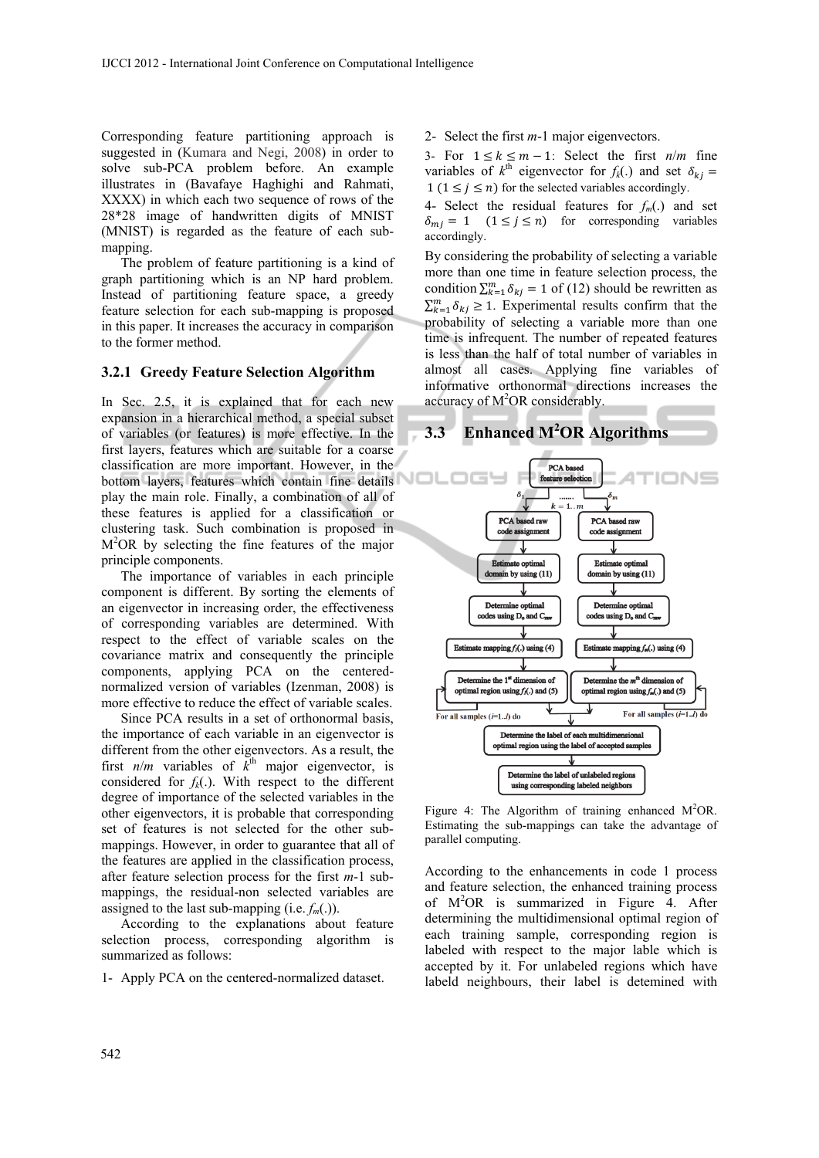Corresponding feature partitioning approach is suggested in (Kumara and Negi, 2008) in order to solve sub-PCA problem before. An example illustrates in (Bavafaye Haghighi and Rahmati, XXXX) in which each two sequence of rows of the 28\*28 image of handwritten digits of MNIST (MNIST) is regarded as the feature of each submapping.

The problem of feature partitioning is a kind of graph partitioning which is an NP hard problem. Instead of partitioning feature space, a greedy feature selection for each sub-mapping is proposed in this paper. It increases the accuracy in comparison to the former method.

#### **3.2.1 Greedy Feature Selection Algorithm**

In Sec. 2.5, it is explained that for each new expansion in a hierarchical method, a special subset of variables (or features) is more effective. In the first layers, features which are suitable for a coarse classification are more important. However, in the bottom layers, features which contain fine details play the main role. Finally, a combination of all of these features is applied for a classification or clustering task. Such combination is proposed in M2 OR by selecting the fine features of the major principle components.

The importance of variables in each principle component is different. By sorting the elements of an eigenvector in increasing order, the effectiveness of corresponding variables are determined. With respect to the effect of variable scales on the covariance matrix and consequently the principle components, applying PCA on the centerednormalized version of variables (Izenman, 2008) is more effective to reduce the effect of variable scales.

Since PCA results in a set of orthonormal basis, the importance of each variable in an eigenvector is different from the other eigenvectors. As a result, the first  $n/m$  variables of  $\vec{k}^{\text{th}}$  major eigenvector, is considered for  $f_k(.)$ . With respect to the different degree of importance of the selected variables in the other eigenvectors, it is probable that corresponding set of features is not selected for the other submappings. However, in order to guarantee that all of the features are applied in the classification process, after feature selection process for the first *m*-1 submappings, the residual-non selected variables are assigned to the last sub-mapping (i.e.  $f_m(.)$ ).

According to the explanations about feature selection process, corresponding algorithm is summarized as follows:

1- Apply PCA on the centered-normalized dataset.

2- Select the first *m*-1 major eigenvectors.

3- For  $1 \le k \le m - 1$ : Select the first  $n/m$  fine variables of  $k^{\text{th}}$  eigenvector for  $f_k(.)$  and set  $\delta_{kj}$  $1 (1 \le j \le n)$  for the selected variables accordingly.

4- Select the residual features for  $f_m(.)$  and set  $\delta_{mj} = 1$   $(1 \le j \le n)$  for corresponding variables accordingly.

By considering the probability of selecting a variable more than one time in feature selection process, the condition  $\sum_{k=1}^{m} \delta_{kj} = 1$  of (12) should be rewritten as  $\sum_{k=1}^{m} \delta_{kj} \geq 1$ . Experimental results confirm that the probability of selecting a variable more than one time is infrequent. The number of repeated features is less than the half of total number of variables in almost all cases. Applying fine variables of informative orthonormal directions increases the accuracy of  $M^2OR$  considerably.



Figure 4: The Algorithm of training enhanced  $M^2OR$ . Estimating the sub-mappings can take the advantage of parallel computing.

According to the enhancements in code 1 process and feature selection, the enhanced training process of M2 OR is summarized in Figure 4. After determining the multidimensional optimal region of each training sample, corresponding region is labeled with respect to the major lable which is accepted by it. For unlabeled regions which have labeld neighbours, their label is detemined with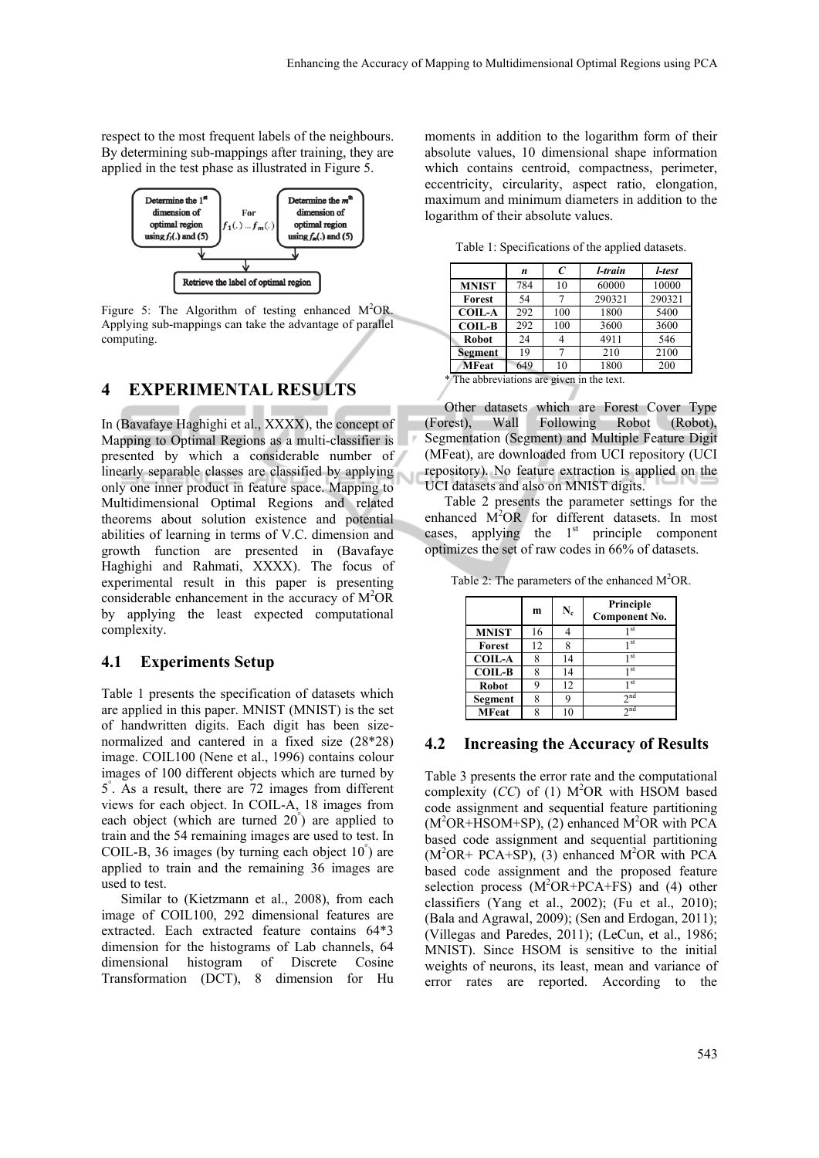respect to the most frequent labels of the neighbours. By determining sub-mappings after training, they are applied in the test phase as illustrated in Figure 5.



Figure 5: The Algorithm of testing enhanced  $M^2OR$ . Applying sub-mappings can take the advantage of parallel computing.

## **4 EXPERIMENTAL RESULTS**

In (Bavafaye Haghighi et al., XXXX), the concept of Mapping to Optimal Regions as a multi-classifier is presented by which a considerable number of linearly separable classes are classified by applying only one inner product in feature space. Mapping to Multidimensional Optimal Regions and related theorems about solution existence and potential abilities of learning in terms of V.C. dimension and growth function are presented in (Bavafaye Haghighi and Rahmati, XXXX). The focus of experimental result in this paper is presenting considerable enhancement in the accuracy of M<sup>2</sup>OR by applying the least expected computational complexity.

#### **4.1 Experiments Setup**

Table 1 presents the specification of datasets which are applied in this paper. MNIST (MNIST) is the set of handwritten digits. Each digit has been sizenormalized and cantered in a fixed size (28\*28) image. COIL100 (Nene et al., 1996) contains colour images of 100 different objects which are turned by 5° . As a result, there are 72 images from different views for each object. In COIL-A, 18 images from each object (which are turned 20° ) are applied to train and the 54 remaining images are used to test. In COIL-B, 36 images (by turning each object 10° ) are applied to train and the remaining 36 images are used to test.

Similar to (Kietzmann et al., 2008), from each image of COIL100, 292 dimensional features are extracted. Each extracted feature contains 64\*3 dimension for the histograms of Lab channels, 64 dimensional histogram of Discrete Cosine Transformation (DCT), 8 dimension for Hu

moments in addition to the logarithm form of their absolute values, 10 dimensional shape information which contains centroid, compactness, perimeter, eccentricity, circularity, aspect ratio, elongation, maximum and minimum diameters in addition to the logarithm of their absolute values.

Table 1: Specifications of the applied datasets.

| 784 | 10  | 60000  | 10000                                      |
|-----|-----|--------|--------------------------------------------|
|     |     |        |                                            |
| 54  |     | 290321 | 290321                                     |
| 292 | 100 | 1800   | 5400                                       |
| 292 | 100 | 3600   | 3600                                       |
| 24  |     | 4911   | 546                                        |
| 19  |     | 210    | 2100                                       |
| 649 | 10  | 1800   | 200                                        |
|     |     |        | 0 The chlorooded one and whose in the teat |

The abbreviations are given in the text.

Other datasets which are Forest Cover Type (Forest), Wall Following Robot (Robot), Segmentation (Segment) and Multiple Feature Digit (MFeat), are downloaded from UCI repository (UCI repository). No feature extraction is applied on the UCI datasets and also on MNIST digits.

Table 2 presents the parameter settings for the enhanced  $\overrightarrow{M}^2$ OR for different datasets. In most cases, applying the  $1<sup>st</sup>$  principle component optimizes the set of raw codes in 66% of datasets.

Table 2: The parameters of the enhanced  $M^2OR$ .

|               | m  | $N_c$ | Principle<br>Component No. |
|---------------|----|-------|----------------------------|
| <b>MNIST</b>  | 16 |       | 1 st                       |
| Forest        | 12 |       | 1 st                       |
| <b>COIL-A</b> | 8  | 14    | 1 st                       |
| <b>COIL-B</b> | 8  | 14    | 1 st                       |
| <b>Robot</b>  | a  | 12    | 1 st                       |
| Segment       | 8  |       | 2 <sub>nd</sub>            |
| <b>MFeat</b>  | o  |       | 2 <sub>nd</sub>            |

#### **4.2 Increasing the Accuracy of Results**

Table 3 presents the error rate and the computational complexity  $(CC)$  of (1)  $M^2OR$  with HSOM based code assignment and sequential feature partitioning (M<sup>2</sup>OR+HSOM+SP), (2) enhanced M<sup>2</sup>OR with PCA based code assignment and sequential partitioning  $(M<sup>2</sup>OR + PCA + SP)$ , (3) enhanced  $M<sup>2</sup>OR$  with PCA based code assignment and the proposed feature selection process  $(M^2OR+PCA+FS)$  and (4) other classifiers (Yang et al., 2002); (Fu et al., 2010); (Bala and Agrawal, 2009); (Sen and Erdogan, 2011); (Villegas and Paredes, 2011); (LeCun, et al., 1986; MNIST). Since HSOM is sensitive to the initial weights of neurons, its least, mean and variance of error rates are reported. According to the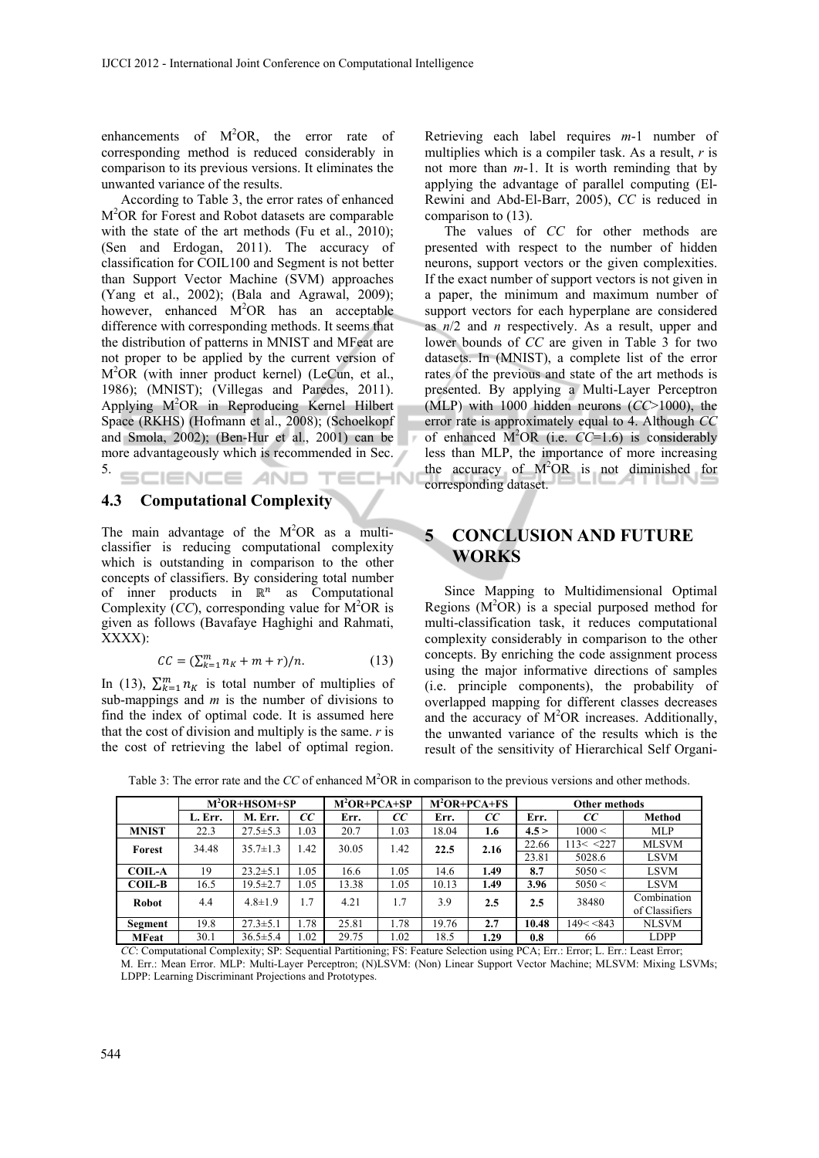enhancements of  $M^2OR$ , the error rate of corresponding method is reduced considerably in comparison to its previous versions. It eliminates the unwanted variance of the results.

According to Table 3, the error rates of enhanced M2 OR for Forest and Robot datasets are comparable with the state of the art methods (Fu et al., 2010); (Sen and Erdogan, 2011). The accuracy of classification for COIL100 and Segment is not better than Support Vector Machine (SVM) approaches (Yang et al., 2002); (Bala and Agrawal, 2009); however, enhanced  $M^2OR$  has an acceptable difference with corresponding methods. It seems that the distribution of patterns in MNIST and MFeat are not proper to be applied by the current version of M2 OR (with inner product kernel) (LeCun, et al., 1986); (MNIST); (Villegas and Paredes, 2011). Applying M2 OR in Reproducing Kernel Hilbert Space (RKHS) (Hofmann et al., 2008); (Schoelkopf and Smola, 2002); (Ben-Hur et al., 2001) can be more advantageously which is recommended in Sec. 5. SCIENCE AND TECHN

#### **4.3 Computational Complexity**

The main advantage of the  $M^2OR$  as a multiclassifier is reducing computational complexity which is outstanding in comparison to the other concepts of classifiers. By considering total number of inner products in  $\mathbb{R}^n$  as Computational Complexity  $\overline{(CC)}$ , corresponding value for  $\overline{M}^2$ OR is given as follows (Bavafaye Haghighi and Rahmati, XXXX):

$$
CC = (\sum_{k=1}^{m} n_k + m + r)/n. \tag{13}
$$

In (13),  $\sum_{k=1}^{m} n_k$  is total number of multiplies of sub-mappings and *m* is the number of divisions to find the index of optimal code. It is assumed here that the cost of division and multiply is the same. *r* is the cost of retrieving the label of optimal region.

Retrieving each label requires *m*-1 number of multiplies which is a compiler task. As a result, *r* is not more than *m*-1. It is worth reminding that by applying the advantage of parallel computing (El-Rewini and Abd-El-Barr, 2005), *CC* is reduced in comparison to (13).

The values of *CC* for other methods are presented with respect to the number of hidden neurons, support vectors or the given complexities. If the exact number of support vectors is not given in a paper, the minimum and maximum number of support vectors for each hyperplane are considered as *n*/2 and *n* respectively. As a result, upper and lower bounds of *CC* are given in Table 3 for two datasets. In (MNIST), a complete list of the error rates of the previous and state of the art methods is presented. By applying a Multi-Layer Perceptron (MLP) with 1000 hidden neurons (*CC*>1000), the error rate is approximately equal to 4. Although *CC* of enhanced  $\overline{M}^2$ OR (i.e.  $\overline{CC}$ =1.6) is considerably less than MLP, the importance of more increasing the accuracy of  $M^2OR$  is not diminished for corresponding dataset.

## **5 CONCLUSION AND FUTURE WORKS**

Since Mapping to Multidimensional Optimal Regions  $(M^2OR)$  is a special purposed method for multi-classification task, it reduces computational complexity considerably in comparison to the other concepts. By enriching the code assignment process using the major informative directions of samples (i.e. principle components), the probability of overlapped mapping for different classes decreases and the accuracy of M<sup>2</sup>OR increases. Additionally, the unwanted variance of the results which is the result of the sensitivity of Hierarchical Self Organi-

|               | $M2OR+HSOM+SP$ |                | $M^2OR+PCA+SP$ |       | $M^2OR+PCA+FS$ |       | <b>Other methods</b> |       |           |                               |
|---------------|----------------|----------------|----------------|-------|----------------|-------|----------------------|-------|-----------|-------------------------------|
|               | L. Err.        | M. Err.        | cc             | Err.  | CС             | Err.  | CС                   | Err.  | cc        | Method                        |
| <b>MNIST</b>  | 22.3           | $27.5 \pm 5.3$ | 1.03           | 20.7  | 1.03           | 18.04 | 1.6                  | 4.5 > | 1000 <    | <b>MLP</b>                    |
| Forest        | 34.48          | $35.7 \pm 1.3$ | 1.42           | 30.05 | 1.42           | 22.5  | 2.16                 | 22.66 | 113 < 227 | <b>MLSVM</b>                  |
|               |                |                |                |       |                |       |                      | 23.81 | 5028.6    | <b>LSVM</b>                   |
| <b>COIL-A</b> | 19             | $23.2 \pm 5.1$ | .05            | 16.6  | 1.05           | 14.6  | 1.49                 | 8.7   | 5050 <    | <b>LSVM</b>                   |
| <b>COIL-B</b> | 16.5           | $19.5 \pm 2.7$ | . 05           | 13.38 | 1.05           | 10.13 | 1.49                 | 3.96  | 5050 <    | LSVM                          |
| <b>Robot</b>  | 4.4            | $4.8 \pm 1.9$  | 1.7            | 4.21  | 1.7            | 3.9   | 2.5                  | 2.5   | 38480     | Combination<br>of Classifiers |
| Segment       | 19.8           | $27.3 \pm 5.1$ | 1.78           | 25.81 | 1.78           | 19.76 | 2.7                  | 10.48 | 149 < 843 | <b>NLSVM</b>                  |
| <b>MFeat</b>  | 30.1           | $36.5 \pm 5.4$ | 1.02           | 29.75 | 1.02           | 18.5  | 1.29                 | 0.8   | 66        | LDPP                          |

Table 3: The error rate and the *CC* of enhanced M<sup>2</sup>OR in comparison to the previous versions and other methods.

*CC*: Computational Complexity; SP: Sequential Partitioning; FS: Feature Selection using PCA; Err.: Error; L. Err.: Least Error; M. Err.: Mean Error. MLP: Multi-Layer Perceptron; (N)LSVM: (Non) Linear Support Vector Machine; MLSVM: Mixing LSVMs; LDPP: Learning Discriminant Projections and Prototypes.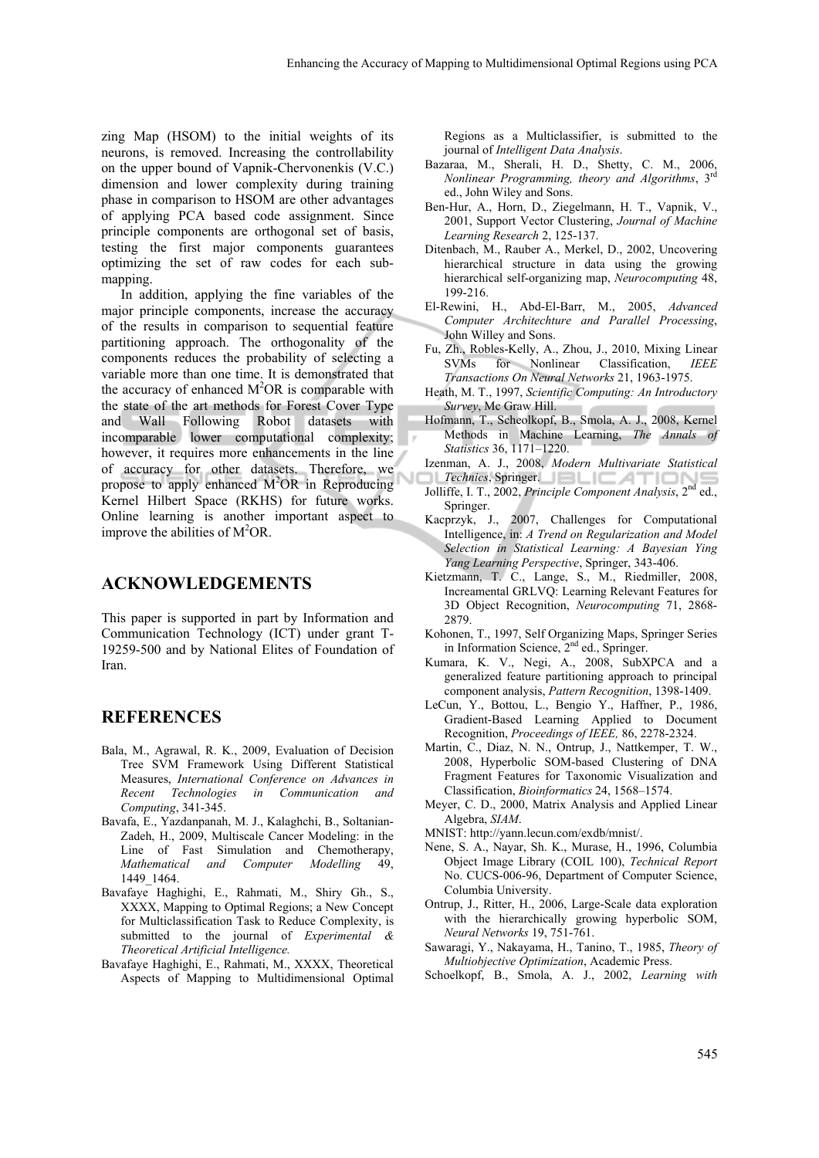zing Map (HSOM) to the initial weights of its neurons, is removed. Increasing the controllability on the upper bound of Vapnik-Chervonenkis (V.C.) dimension and lower complexity during training phase in comparison to HSOM are other advantages of applying PCA based code assignment. Since principle components are orthogonal set of basis, testing the first major components guarantees optimizing the set of raw codes for each submapping.

In addition, applying the fine variables of the major principle components, increase the accuracy of the results in comparison to sequential feature partitioning approach. The orthogonality of the components reduces the probability of selecting a variable more than one time. It is demonstrated that the accuracy of enhanced  $M^2OR$  is comparable with the state of the art methods for Forest Cover Type and Wall Following Robot datasets with incomparable lower computational complexity; however, it requires more enhancements in the line of accuracy for other datasets. Therefore, we propose to apply enhanced  $M^2OR$  in Reproducing Kernel Hilbert Space (RKHS) for future works. Online learning is another important aspect to improve the abilities of  $M^2OR$ .

#### **ACKNOWLEDGEMENTS**

This paper is supported in part by Information and Communication Technology (ICT) under grant T-19259-500 and by National Elites of Foundation of Iran.

## **REFERENCES**

- Bala, M., Agrawal, R. K., 2009, Evaluation of Decision Tree SVM Framework Using Different Statistical Measures, *International Conference on Advances in Recent Technologies in Communication and Computing*, 341-345.
- Bavafa, E., Yazdanpanah, M. J., Kalaghchi, B., Soltanian-Zadeh, H., 2009, Multiscale Cancer Modeling: in the Line of Fast Simulation and Chemotherapy, *Mathematical and Computer Modelling* 49, 1449\_1464.
- Bavafaye Haghighi, E., Rahmati, M., Shiry Gh., S., XXXX, Mapping to Optimal Regions; a New Concept for Multiclassification Task to Reduce Complexity, is submitted to the journal of *Experimental & Theoretical Artificial Intelligence.*
- Bavafaye Haghighi, E., Rahmati, M., XXXX, Theoretical Aspects of Mapping to Multidimensional Optimal

Regions as a Multiclassifier, is submitted to the journal of *Intelligent Data Analysis*.

- Bazaraa, M., Sherali, H. D., Shetty, C. M., 2006, *Nonlinear Programming, theory and Algorithms*, 3rd ed., John Wiley and Sons.
- Ben-Hur, A., Horn, D., Ziegelmann, H. T., Vapnik, V., 2001, Support Vector Clustering, *Journal of Machine Learning Research* 2, 125-137.
- Ditenbach, M., Rauber A., Merkel, D., 2002, Uncovering hierarchical structure in data using the growing hierarchical self-organizing map, *Neurocomputing* 48, 199-216.
- El-Rewini, H., Abd-El-Barr, M., 2005, *Advanced Computer Architechture and Parallel Processing*, John Willey and Sons.
- Fu, Zh., Robles-Kelly, A., Zhou, J., 2010, Mixing Linear SVMs for Nonlinear Classification, *IEEE Transactions On Neural Networks* 21, 1963-1975.
- Heath, M. T., 1997, *Scientific Computing: An Introductory Survey*, Mc Graw Hill.
- Hofmann, T., Scheolkopf, B., Smola, A. J., 2008, Kernel Methods in Machine Learning, *The Annals of Statistics* 36, 1171–1220.
- Izenman, A. J., 2008, *Modern Multivariate Statistical*
- **Technics**, Springer. Jolliffe, I. T., 2002, *Principle Component Analysis*, 2nd ed., Springer.
- Kacprzyk, J., 2007, Challenges for Computational Intelligence, in: *A Trend on Regularization and Model Selection in Statistical Learning: A Bayesian Ying Yang Learning Perspective*, Springer, 343-406.
- Kietzmann, T. C., Lange, S., M., Riedmiller, 2008, Increamental GRLVQ: Learning Relevant Features for 3D Object Recognition, *Neurocomputing* 71, 2868- 2879.
- Kohonen, T., 1997, Self Organizing Maps, Springer Series in Information Science, 2nd ed., Springer.
- Kumara, K. V., Negi, A., 2008, SubXPCA and a generalized feature partitioning approach to principal component analysis, *Pattern Recognition*, 1398-1409.
- LeCun, Y., Bottou, L., Bengio Y., Haffner, P., 1986, Gradient-Based Learning Applied to Document Recognition, *Proceedings of IEEE,* 86, 2278-2324.
- Martin, C., Diaz, N. N., Ontrup, J., Nattkemper, T. W., 2008, Hyperbolic SOM-based Clustering of DNA Fragment Features for Taxonomic Visualization and Classification, *Bioinformatics* 24, 1568–1574.
- Meyer, C. D., 2000, Matrix Analysis and Applied Linear Algebra, *SIAM*.
- MNIST: http://yann.lecun.com/exdb/mnist/.
- Nene, S. A., Nayar, Sh. K., Murase, H., 1996, Columbia Object Image Library (COIL 100), *Technical Report*  No. CUCS-006-96, Department of Computer Science, Columbia University.
- Ontrup, J., Ritter, H., 2006, Large-Scale data exploration with the hierarchically growing hyperbolic SOM, *Neural Networks* 19, 751-761.
- Sawaragi, Y., Nakayama, H., Tanino, T., 1985, *Theory of Multiobjective Optimization*, Academic Press.
- Schoelkopf, B., Smola, A. J., 2002, *Learning with*